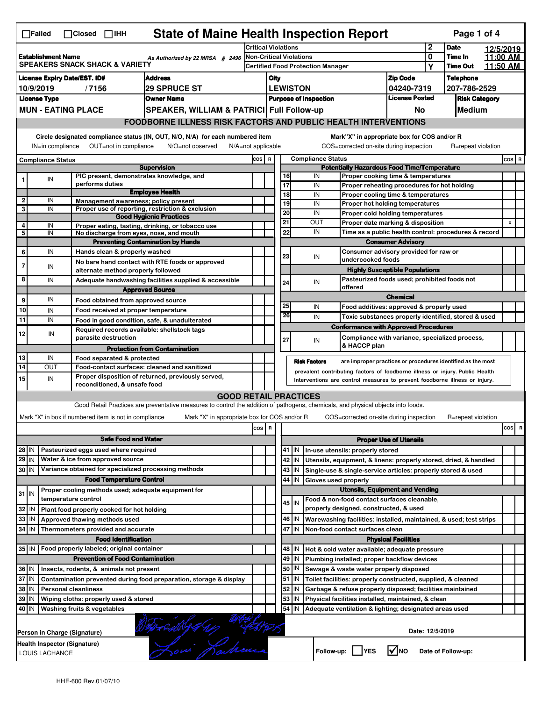| <b>State of Maine Health Inspection Report</b><br>Page 1 of 4<br>$\Box$ Failed<br>$\Box$ Closed $\Box$ IHH |                           |                                                                                              |                                                                                                                                   |                            |                                       |          |                                |                                                                                              |                                                                                           |              |                            |           |       |   |  |
|------------------------------------------------------------------------------------------------------------|---------------------------|----------------------------------------------------------------------------------------------|-----------------------------------------------------------------------------------------------------------------------------------|----------------------------|---------------------------------------|----------|--------------------------------|----------------------------------------------------------------------------------------------|-------------------------------------------------------------------------------------------|--------------|----------------------------|-----------|-------|---|--|
|                                                                                                            |                           |                                                                                              |                                                                                                                                   | <b>Critical Violations</b> |                                       |          |                                |                                                                                              |                                                                                           | $\mathbf{2}$ | <b>Date</b>                | 12/5/2019 |       |   |  |
|                                                                                                            | <b>Establishment Name</b> | <b>SPEAKERS SNACK SHACK &amp; VARIETY</b>                                                    | As Authorized by 22 MRSA § 2496                                                                                                   |                            |                                       |          | <b>Non-Critical Violations</b> |                                                                                              |                                                                                           | 0            | Time In<br><b>Time Out</b> | 11:00 AM  |       |   |  |
|                                                                                                            |                           |                                                                                              |                                                                                                                                   |                            |                                       |          |                                | <b>Certified Food Protection Manager</b>                                                     |                                                                                           | Y            |                            | 11:50 AM  |       |   |  |
|                                                                                                            |                           | <b>License Expiry Date/EST. ID#</b>                                                          | <b>Address</b>                                                                                                                    |                            | City                                  |          |                                |                                                                                              | <b>Zip Code</b>                                                                           |              | <b>Telephone</b>           |           |       |   |  |
|                                                                                                            | 10/9/2019                 | /7156                                                                                        | <b>29 SPRUCE ST</b>                                                                                                               |                            |                                       |          | <b>LEWISTON</b>                |                                                                                              | 04240-7319<br><b>License Posted</b>                                                       |              | 207-786-2529               |           |       |   |  |
|                                                                                                            | <b>License Type</b>       |                                                                                              | <b>Owner Name</b>                                                                                                                 |                            |                                       |          |                                | <b>Purpose of Inspection</b>                                                                 |                                                                                           |              | <b>Risk Category</b>       |           |       |   |  |
|                                                                                                            |                           | <b>MUN - EATING PLACE</b>                                                                    | SPEAKER, WILLIAM & PATRICI Full Follow-up                                                                                         |                            |                                       |          |                                |                                                                                              | No                                                                                        |              | Medium                     |           |       |   |  |
|                                                                                                            |                           |                                                                                              | <b>FOODBORNE ILLNESS RISK FACTORS AND PUBLIC HEALTH INTERVENTIONS</b>                                                             |                            |                                       |          |                                |                                                                                              |                                                                                           |              |                            |           |       |   |  |
|                                                                                                            | IN=in compliance          | OUT=not in compliance                                                                        | Circle designated compliance status (IN, OUT, N/O, N/A) for each numbered item<br>N/O=not observed<br>$N/A = not$ applicable      |                            |                                       |          |                                | Mark"X" in appropriate box for COS and/or R<br>COS=corrected on-site during inspection       |                                                                                           |              | R=repeat violation         |           |       |   |  |
|                                                                                                            |                           |                                                                                              |                                                                                                                                   |                            |                                       |          |                                |                                                                                              |                                                                                           |              |                            |           |       |   |  |
|                                                                                                            | <b>Compliance Status</b>  |                                                                                              | <b>Supervision</b>                                                                                                                | COS R                      |                                       |          |                                | <b>Compliance Status</b><br><b>Potentially Hazardous Food Time/Temperature</b>               |                                                                                           |              |                            |           | COS R |   |  |
| 1                                                                                                          | IN                        | PIC present, demonstrates knowledge, and                                                     |                                                                                                                                   |                            |                                       | 16       |                                | IN<br>Proper cooking time & temperatures                                                     |                                                                                           |              |                            |           |       |   |  |
|                                                                                                            |                           | performs duties                                                                              |                                                                                                                                   |                            |                                       | 17       |                                | IN<br>Proper reheating procedures for hot holding                                            |                                                                                           |              |                            |           |       |   |  |
| 2                                                                                                          | IN                        | Management awareness: policy present                                                         | <b>Employee Health</b>                                                                                                            |                            |                                       | 18       |                                | IN<br>Proper cooling time & temperatures                                                     |                                                                                           |              |                            |           |       |   |  |
| 3                                                                                                          | IN                        |                                                                                              | Proper use of reporting, restriction & exclusion                                                                                  |                            |                                       | 19       |                                | IN<br>Proper hot holding temperatures                                                        |                                                                                           |              |                            |           |       |   |  |
|                                                                                                            |                           |                                                                                              | <b>Good Hygienic Practices</b>                                                                                                    |                            |                                       | 20       |                                | IN<br>Proper cold holding temperatures                                                       |                                                                                           |              |                            |           | X     |   |  |
| 4                                                                                                          | IN                        |                                                                                              | Proper eating, tasting, drinking, or tobacco use                                                                                  |                            |                                       | 21<br>22 |                                | OUT<br>IN                                                                                    | Proper date marking & disposition<br>Time as a public health control: procedures & record |              |                            |           |       |   |  |
| 5                                                                                                          | IN                        | No discharge from eyes, nose, and mouth                                                      | <b>Preventing Contamination by Hands</b>                                                                                          |                            |                                       |          |                                | <b>Consumer Advisory</b>                                                                     |                                                                                           |              |                            |           |       |   |  |
| 6                                                                                                          | IN                        | Hands clean & properly washed                                                                |                                                                                                                                   |                            |                                       |          |                                | Consumer advisory provided for raw or                                                        |                                                                                           |              |                            |           |       |   |  |
|                                                                                                            |                           |                                                                                              | No bare hand contact with RTE foods or approved                                                                                   |                            |                                       | 23       |                                | IN<br>undercooked foods                                                                      |                                                                                           |              |                            |           |       |   |  |
| 7                                                                                                          | IN                        | alternate method properly followed                                                           |                                                                                                                                   |                            |                                       |          |                                |                                                                                              | <b>Highly Susceptible Populations</b>                                                     |              |                            |           |       |   |  |
| 8                                                                                                          | IN                        |                                                                                              | Adequate handwashing facilities supplied & accessible                                                                             |                            |                                       | 24       |                                | Pasteurized foods used; prohibited foods not<br>IN                                           |                                                                                           |              |                            |           |       |   |  |
|                                                                                                            |                           |                                                                                              | <b>Approved Source</b>                                                                                                            |                            |                                       |          |                                | offered                                                                                      |                                                                                           |              |                            |           |       |   |  |
| 9                                                                                                          | IN                        | Food obtained from approved source                                                           |                                                                                                                                   |                            |                                       | 25       |                                |                                                                                              | <b>Chemical</b>                                                                           |              |                            |           |       |   |  |
| 10                                                                                                         | IN                        | Food received at proper temperature                                                          |                                                                                                                                   |                            |                                       | 26       |                                | IN<br>Food additives: approved & properly used                                               |                                                                                           |              |                            |           |       |   |  |
| 11                                                                                                         | IN                        |                                                                                              | Food in good condition, safe, & unadulterated                                                                                     |                            |                                       |          |                                | IN<br>Toxic substances properly identified, stored & used                                    |                                                                                           |              |                            |           |       |   |  |
| 12                                                                                                         | IN                        | Required records available: shellstock tags                                                  |                                                                                                                                   |                            |                                       |          |                                | <b>Conformance with Approved Procedures</b>                                                  |                                                                                           |              |                            |           |       |   |  |
|                                                                                                            |                           | parasite destruction                                                                         |                                                                                                                                   |                            |                                       | 27       |                                | Compliance with variance, specialized process,<br>IN<br>& HACCP plan                         |                                                                                           |              |                            |           |       |   |  |
| 13                                                                                                         | IN                        |                                                                                              | <b>Protection from Contamination</b>                                                                                              |                            |                                       |          |                                |                                                                                              |                                                                                           |              |                            |           |       |   |  |
| 14                                                                                                         | OUT                       | Food separated & protected                                                                   | Food-contact surfaces: cleaned and sanitized                                                                                      |                            |                                       |          |                                | <b>Risk Factors</b><br>are improper practices or procedures identified as the most           |                                                                                           |              |                            |           |       |   |  |
| 15                                                                                                         | IN                        |                                                                                              | Proper disposition of returned, previously served,                                                                                |                            |                                       |          |                                | prevalent contributing factors of foodborne illness or injury. Public Health                 |                                                                                           |              |                            |           |       |   |  |
|                                                                                                            |                           | reconditioned, & unsafe food                                                                 |                                                                                                                                   |                            |                                       |          |                                | Interventions are control measures to prevent foodborne illness or injury.                   |                                                                                           |              |                            |           |       |   |  |
|                                                                                                            |                           |                                                                                              | <b>GOOD RETAIL PRACTICES</b>                                                                                                      |                            |                                       |          |                                |                                                                                              |                                                                                           |              |                            |           |       |   |  |
|                                                                                                            |                           |                                                                                              | Good Retail Practices are preventative measures to control the addition of pathogens, chemicals, and physical objects into foods. |                            |                                       |          |                                |                                                                                              |                                                                                           |              |                            |           |       |   |  |
|                                                                                                            |                           | Mark "X" in box if numbered item is not in compliance                                        | Mark "X" in appropriate box for COS and/or R                                                                                      |                            |                                       |          |                                | COS=corrected on-site during inspection                                                      |                                                                                           |              | R=repeat violation         |           |       |   |  |
|                                                                                                            |                           |                                                                                              |                                                                                                                                   | cos R                      |                                       |          |                                |                                                                                              |                                                                                           |              |                            |           | cos   | R |  |
|                                                                                                            |                           | <b>Safe Food and Water</b>                                                                   |                                                                                                                                   |                            |                                       |          |                                |                                                                                              | <b>Proper Use of Utensils</b>                                                             |              |                            |           |       |   |  |
| 28 IN                                                                                                      |                           | Pasteurized eggs used where required                                                         |                                                                                                                                   |                            |                                       |          | 41 J IN                        | In-use utensils: properly stored                                                             |                                                                                           |              |                            |           |       |   |  |
| 29 IN                                                                                                      |                           | Water & ice from approved source                                                             |                                                                                                                                   |                            |                                       |          | 42 IN                          | Utensils, equipment, & linens: properly stored, dried, & handled                             |                                                                                           |              |                            |           |       |   |  |
| 30 IN                                                                                                      |                           | Variance obtained for specialized processing methods                                         |                                                                                                                                   |                            |                                       |          | 43 IN                          | Single-use & single-service articles: properly stored & used                                 |                                                                                           |              |                            |           |       |   |  |
|                                                                                                            |                           | <b>Food Temperature Control</b>                                                              |                                                                                                                                   |                            |                                       | 44       | IN                             | Gloves used properly                                                                         |                                                                                           |              |                            |           |       |   |  |
| $31$ IN                                                                                                    |                           | Proper cooling methods used; adequate equipment for                                          |                                                                                                                                   |                            |                                       |          |                                | <b>Utensils, Equipment and Vending</b>                                                       |                                                                                           |              |                            |           |       |   |  |
|                                                                                                            |                           | temperature control                                                                          |                                                                                                                                   |                            |                                       |          | 45 IN                          | Food & non-food contact surfaces cleanable,                                                  |                                                                                           |              |                            |           |       |   |  |
| 32 IN                                                                                                      |                           | Plant food properly cooked for hot holding                                                   |                                                                                                                                   |                            |                                       |          |                                | properly designed, constructed, & used                                                       |                                                                                           |              |                            |           |       |   |  |
| 33 IN                                                                                                      |                           | Approved thawing methods used                                                                |                                                                                                                                   |                            |                                       |          | 46 IN                          | Warewashing facilities: installed, maintained, & used; test strips                           |                                                                                           |              |                            |           |       |   |  |
| 34 IN                                                                                                      |                           | Thermometers provided and accurate                                                           |                                                                                                                                   |                            |                                       |          | 47 IN                          | Non-food contact surfaces clean                                                              |                                                                                           |              |                            |           |       |   |  |
|                                                                                                            |                           | <b>Food Identification</b>                                                                   |                                                                                                                                   |                            | <b>Physical Facilities</b><br>48   IN |          |                                |                                                                                              |                                                                                           |              |                            |           |       |   |  |
|                                                                                                            |                           | 35 IN   Food properly labeled; original container<br><b>Prevention of Food Contamination</b> |                                                                                                                                   |                            |                                       | 49       | IN                             | Hot & cold water available; adequate pressure<br>Plumbing installed; proper backflow devices |                                                                                           |              |                            |           |       |   |  |
| 36 IN                                                                                                      |                           | Insects, rodents, & animals not present                                                      |                                                                                                                                   |                            |                                       | 50       | IN                             | Sewage & waste water properly disposed                                                       |                                                                                           |              |                            |           |       |   |  |
| 37 IN                                                                                                      |                           |                                                                                              | Contamination prevented during food preparation, storage & display                                                                |                            |                                       | 51       | IN.                            | Toilet facilities: properly constructed, supplied, & cleaned                                 |                                                                                           |              |                            |           |       |   |  |
|                                                                                                            |                           | <b>Personal cleanliness</b>                                                                  |                                                                                                                                   |                            |                                       | 52       | IN                             | Garbage & refuse properly disposed; facilities maintained                                    |                                                                                           |              |                            |           |       |   |  |
| 38 IN                                                                                                      |                           | 39 IN<br>Wiping cloths: properly used & stored                                               |                                                                                                                                   |                            |                                       | 53       | IN                             | Physical facilities installed, maintained, & clean                                           |                                                                                           |              |                            |           |       |   |  |
|                                                                                                            |                           |                                                                                              |                                                                                                                                   |                            |                                       |          |                                |                                                                                              |                                                                                           |              |                            |           |       |   |  |
| 40 IN                                                                                                      |                           |                                                                                              |                                                                                                                                   |                            |                                       | 54       | IN                             |                                                                                              |                                                                                           |              |                            |           |       |   |  |
|                                                                                                            |                           | Washing fruits & vegetables                                                                  |                                                                                                                                   |                            |                                       |          |                                | Adequate ventilation & lighting; designated areas used                                       |                                                                                           |              |                            |           |       |   |  |
|                                                                                                            |                           |                                                                                              |                                                                                                                                   |                            |                                       |          |                                |                                                                                              |                                                                                           |              |                            |           |       |   |  |
|                                                                                                            |                           | Person in Charge (Signature)                                                                 |                                                                                                                                   |                            |                                       |          |                                |                                                                                              | Date: 12/5/2019                                                                           |              |                            |           |       |   |  |
|                                                                                                            | LOUIS LACHANCE            | Health Inspector (Signature)                                                                 | Bow Radience                                                                                                                      |                            |                                       |          |                                | Follow-up:     YES                                                                           | $\sqrt{N}$ NO                                                                             |              | Date of Follow-up:         |           |       |   |  |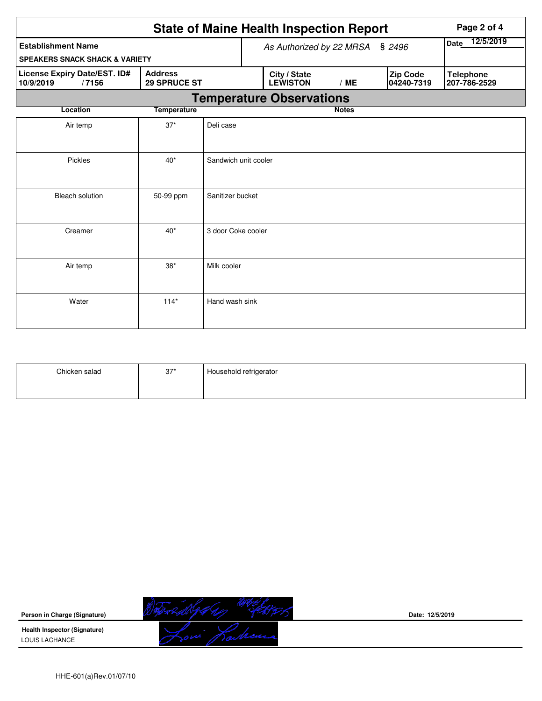|                                                    |                                       |                      |  | <b>State of Maine Health Inspection Report</b> |                   |  |                        | Page 2 of 4                      |
|----------------------------------------------------|---------------------------------------|----------------------|--|------------------------------------------------|-------------------|--|------------------------|----------------------------------|
| <b>Establishment Name</b>                          | As Authorized by 22 MRSA § 2496       |                      |  |                                                | 12/5/2019<br>Date |  |                        |                                  |
| <b>SPEAKERS SNACK SHACK &amp; VARIETY</b>          |                                       |                      |  |                                                |                   |  |                        |                                  |
| License Expiry Date/EST. ID#<br>10/9/2019<br>/7156 | <b>Address</b><br><b>29 SPRUCE ST</b> |                      |  | City / State<br><b>LEWISTON</b>                | /ME               |  | Zip Code<br>04240-7319 | <b>Telephone</b><br>207-786-2529 |
|                                                    |                                       |                      |  | <b>Temperature Observations</b>                |                   |  |                        |                                  |
| Location                                           | <b>Temperature</b>                    |                      |  |                                                | <b>Notes</b>      |  |                        |                                  |
| Air temp                                           | $37*$                                 | Deli case            |  |                                                |                   |  |                        |                                  |
| Pickles                                            | $40*$                                 | Sandwich unit cooler |  |                                                |                   |  |                        |                                  |
| <b>Bleach solution</b>                             | 50-99 ppm                             | Sanitizer bucket     |  |                                                |                   |  |                        |                                  |
| Creamer                                            | $40*$                                 | 3 door Coke cooler   |  |                                                |                   |  |                        |                                  |
| Air temp                                           | $38*$                                 | Milk cooler          |  |                                                |                   |  |                        |                                  |
| Water                                              | $114*$                                | Hand wash sink       |  |                                                |                   |  |                        |                                  |

| Chicken salad | $37*$ | Household refrigerator |
|---------------|-------|------------------------|
|               |       |                        |



**Date: 12/5/2019**

**Health Inspector (Signature)**  LOUIS LACHANCE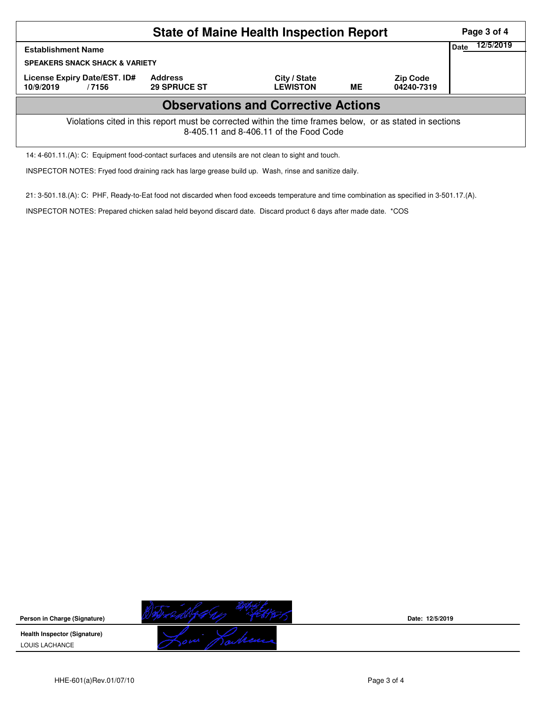| <b>State of Maine Health Inspection Report</b><br>Page 3 of 4                                                                                      |                                       |                                 |           |                               |  |  |  |  |  |  |
|----------------------------------------------------------------------------------------------------------------------------------------------------|---------------------------------------|---------------------------------|-----------|-------------------------------|--|--|--|--|--|--|
| Date<br><b>Establishment Name</b><br><b>SPEAKERS SNACK SHACK &amp; VARIETY</b>                                                                     |                                       |                                 |           |                               |  |  |  |  |  |  |
| License Expiry Date/EST. ID#<br>10/9/2019<br>/7156                                                                                                 | <b>Address</b><br><b>29 SPRUCE ST</b> | City / State<br><b>LEWISTON</b> | <b>ME</b> | <b>Zip Code</b><br>04240-7319 |  |  |  |  |  |  |
| <b>Observations and Corrective Actions</b>                                                                                                         |                                       |                                 |           |                               |  |  |  |  |  |  |
| Violations cited in this report must be corrected within the time frames below, or as stated in sections<br>8-405.11 and 8-406.11 of the Food Code |                                       |                                 |           |                               |  |  |  |  |  |  |
| 14: 4-601.11.(A): C: Equipment food-contact surfaces and utensils are not clean to sight and touch.                                                |                                       |                                 |           |                               |  |  |  |  |  |  |

INSPECTOR NOTES: Fryed food draining rack has large grease build up. Wash, rinse and sanitize daily.

21: 3-501.18.(A): C: PHF, Ready-to-Eat food not discarded when food exceeds temperature and time combination as specified in 3-501.17.(A).

INSPECTOR NOTES: Prepared chicken salad held beyond discard date. Discard product 6 days after made date. \*COS

**Person in Charge (Signature) Health Inspector (Signature)**  LOUIS LACHANCE

**Date: 12/5/2019**